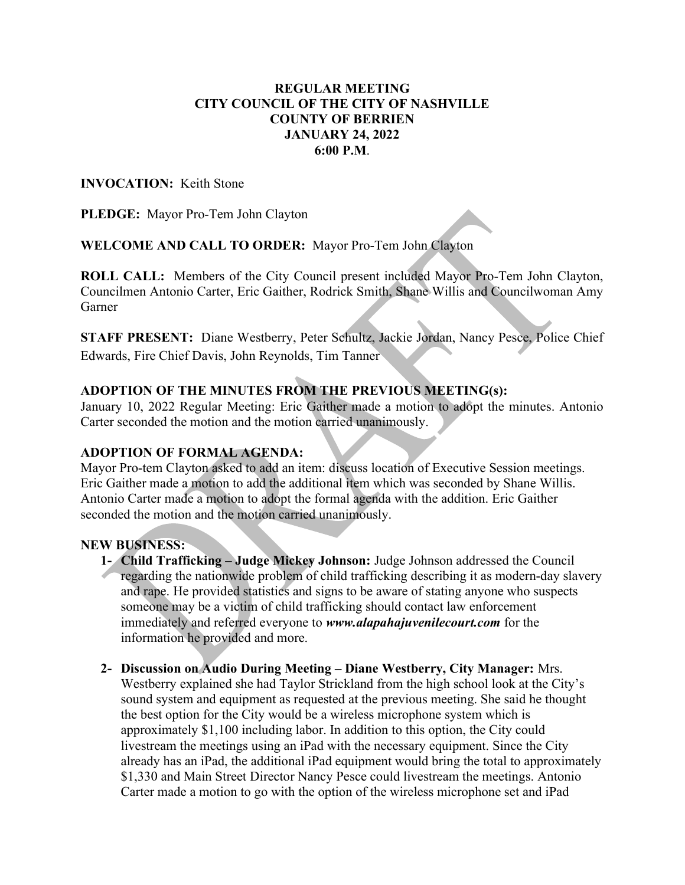## REGULAR MEETING CITY COUNCIL OF THE CITY OF NASHVILLE COUNTY OF BERRIEN JANUARY 24, 2022 6:00 P.M.

## INVOCATION: Keith Stone

PLEDGE: Mayor Pro-Tem John Clayton

WELCOME AND CALL TO ORDER: Mayor Pro-Tem John Clayton

ROLL CALL: Members of the City Council present included Mayor Pro-Tem John Clayton, Councilmen Antonio Carter, Eric Gaither, Rodrick Smith, Shane Willis and Councilwoman Amy Garner

STAFF PRESENT: Diane Westberry, Peter Schultz, Jackie Jordan, Nancy Pesce, Police Chief Edwards, Fire Chief Davis, John Reynolds, Tim Tanner

# ADOPTION OF THE MINUTES FROM THE PREVIOUS MEETING(s):

January 10, 2022 Regular Meeting: Eric Gaither made a motion to adopt the minutes. Antonio Carter seconded the motion and the motion carried unanimously.

## ADOPTION OF FORMAL AGENDA:

Mayor Pro-tem Clayton asked to add an item: discuss location of Executive Session meetings. Eric Gaither made a motion to add the additional item which was seconded by Shane Willis. Antonio Carter made a motion to adopt the formal agenda with the addition. Eric Gaither seconded the motion and the motion carried unanimously.

#### NEW BUSINESS:

- 1- Child Trafficking Judge Mickey Johnson: Judge Johnson addressed the Council regarding the nationwide problem of child trafficking describing it as modern-day slavery and rape. He provided statistics and signs to be aware of stating anyone who suspects someone may be a victim of child trafficking should contact law enforcement immediately and referred everyone to www.alapahajuvenilecourt.com for the information he provided and more.
- 2- Discussion on Audio During Meeting Diane Westberry, City Manager: Mrs. Westberry explained she had Taylor Strickland from the high school look at the City's sound system and equipment as requested at the previous meeting. She said he thought the best option for the City would be a wireless microphone system which is approximately \$1,100 including labor. In addition to this option, the City could livestream the meetings using an iPad with the necessary equipment. Since the City already has an iPad, the additional iPad equipment would bring the total to approximately \$1,330 and Main Street Director Nancy Pesce could livestream the meetings. Antonio Carter made a motion to go with the option of the wireless microphone set and iPad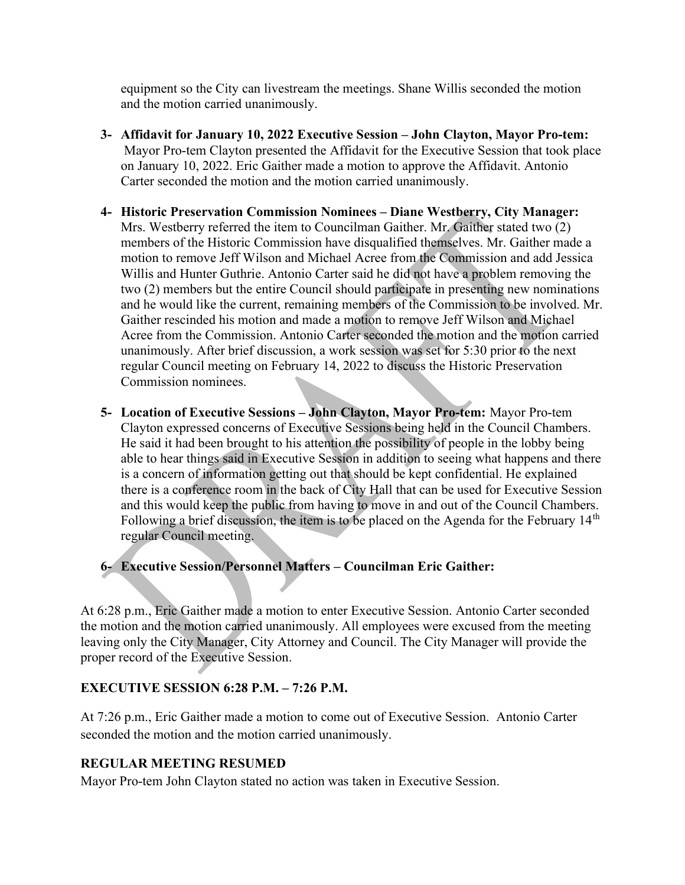equipment so the City can livestream the meetings. Shane Willis seconded the motion and the motion carried unanimously.

- 3- Affidavit for January 10, 2022 Executive Session John Clayton, Mayor Pro-tem: Mayor Pro-tem Clayton presented the Affidavit for the Executive Session that took place on January 10, 2022. Eric Gaither made a motion to approve the Affidavit. Antonio Carter seconded the motion and the motion carried unanimously.
- 4- Historic Preservation Commission Nominees Diane Westberry, City Manager: Mrs. Westberry referred the item to Councilman Gaither. Mr. Gaither stated two (2) members of the Historic Commission have disqualified themselves. Mr. Gaither made a motion to remove Jeff Wilson and Michael Acree from the Commission and add Jessica Willis and Hunter Guthrie. Antonio Carter said he did not have a problem removing the two (2) members but the entire Council should participate in presenting new nominations and he would like the current, remaining members of the Commission to be involved. Mr. Gaither rescinded his motion and made a motion to remove Jeff Wilson and Michael Acree from the Commission. Antonio Carter seconded the motion and the motion carried unanimously. After brief discussion, a work session was set for 5:30 prior to the next regular Council meeting on February 14, 2022 to discuss the Historic Preservation Commission nominees.
- 5- Location of Executive Sessions John Clayton, Mayor Pro-tem: Mayor Pro-tem Clayton expressed concerns of Executive Sessions being held in the Council Chambers. He said it had been brought to his attention the possibility of people in the lobby being able to hear things said in Executive Session in addition to seeing what happens and there is a concern of information getting out that should be kept confidential. He explained there is a conference room in the back of City Hall that can be used for Executive Session and this would keep the public from having to move in and out of the Council Chambers. Following a brief discussion, the item is to be placed on the Agenda for the February  $14<sup>th</sup>$ regular Council meeting.

6- Executive Session/Personnel Matters – Councilman Eric Gaither:

At 6:28 p.m., Eric Gaither made a motion to enter Executive Session. Antonio Carter seconded the motion and the motion carried unanimously. All employees were excused from the meeting leaving only the City Manager, City Attorney and Council. The City Manager will provide the proper record of the Executive Session.

## EXECUTIVE SESSION 6:28 P.M. – 7:26 P.M.

At 7:26 p.m., Eric Gaither made a motion to come out of Executive Session. Antonio Carter seconded the motion and the motion carried unanimously.

# REGULAR MEETING RESUMED

Mayor Pro-tem John Clayton stated no action was taken in Executive Session.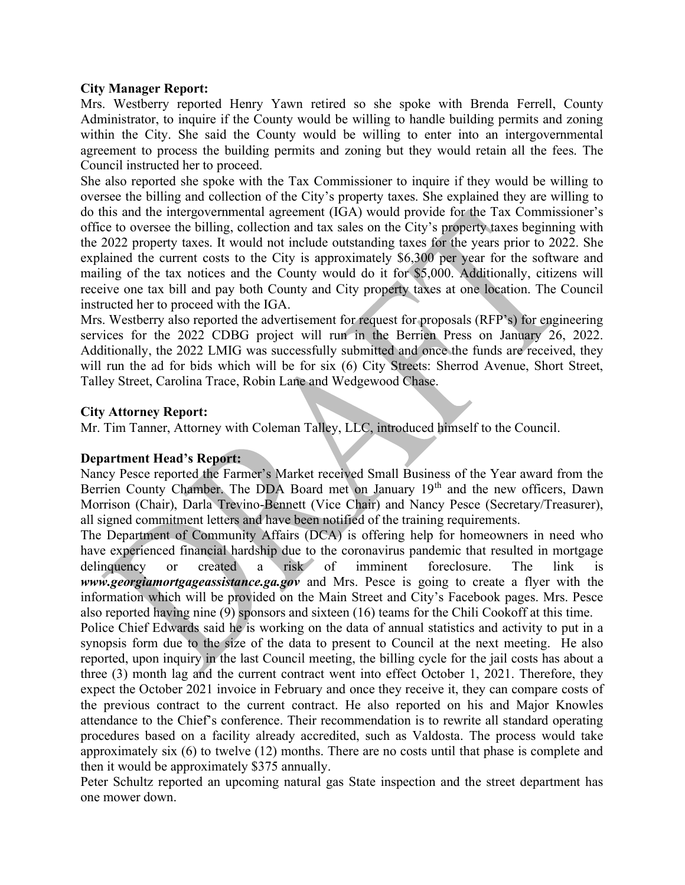#### City Manager Report:

Mrs. Westberry reported Henry Yawn retired so she spoke with Brenda Ferrell, County Administrator, to inquire if the County would be willing to handle building permits and zoning within the City. She said the County would be willing to enter into an intergovernmental agreement to process the building permits and zoning but they would retain all the fees. The Council instructed her to proceed.

She also reported she spoke with the Tax Commissioner to inquire if they would be willing to oversee the billing and collection of the City's property taxes. She explained they are willing to do this and the intergovernmental agreement (IGA) would provide for the Tax Commissioner's office to oversee the billing, collection and tax sales on the City's property taxes beginning with the 2022 property taxes. It would not include outstanding taxes for the years prior to 2022. She explained the current costs to the City is approximately \$6,300 per year for the software and mailing of the tax notices and the County would do it for \$5,000. Additionally, citizens will receive one tax bill and pay both County and City property taxes at one location. The Council instructed her to proceed with the IGA.

Mrs. Westberry also reported the advertisement for request for proposals (RFP's) for engineering services for the 2022 CDBG project will run in the Berrien Press on January 26, 2022. Additionally, the 2022 LMIG was successfully submitted and once the funds are received, they will run the ad for bids which will be for six (6) City Streets: Sherrod Avenue, Short Street, Talley Street, Carolina Trace, Robin Lane and Wedgewood Chase.

#### City Attorney Report:

Mr. Tim Tanner, Attorney with Coleman Talley, LLC, introduced himself to the Council.

#### Department Head's Report:

Nancy Pesce reported the Farmer's Market received Small Business of the Year award from the Berrien County Chamber. The DDA Board met on January 19<sup>th</sup> and the new officers, Dawn Morrison (Chair), Darla Trevino-Bennett (Vice Chair) and Nancy Pesce (Secretary/Treasurer), all signed commitment letters and have been notified of the training requirements.

The Department of Community Affairs (DCA) is offering help for homeowners in need who have experienced financial hardship due to the coronavirus pandemic that resulted in mortgage delinquency or created a risk of imminent foreclosure. The link is www.georgiamortgageassistance.ga.gov and Mrs. Pesce is going to create a flyer with the information which will be provided on the Main Street and City's Facebook pages. Mrs. Pesce also reported having nine (9) sponsors and sixteen (16) teams for the Chili Cookoff at this time.

Police Chief Edwards said he is working on the data of annual statistics and activity to put in a synopsis form due to the size of the data to present to Council at the next meeting. He also reported, upon inquiry in the last Council meeting, the billing cycle for the jail costs has about a three (3) month lag and the current contract went into effect October 1, 2021. Therefore, they expect the October 2021 invoice in February and once they receive it, they can compare costs of the previous contract to the current contract. He also reported on his and Major Knowles attendance to the Chief's conference. Their recommendation is to rewrite all standard operating procedures based on a facility already accredited, such as Valdosta. The process would take approximately six (6) to twelve (12) months. There are no costs until that phase is complete and then it would be approximately \$375 annually.

Peter Schultz reported an upcoming natural gas State inspection and the street department has one mower down.